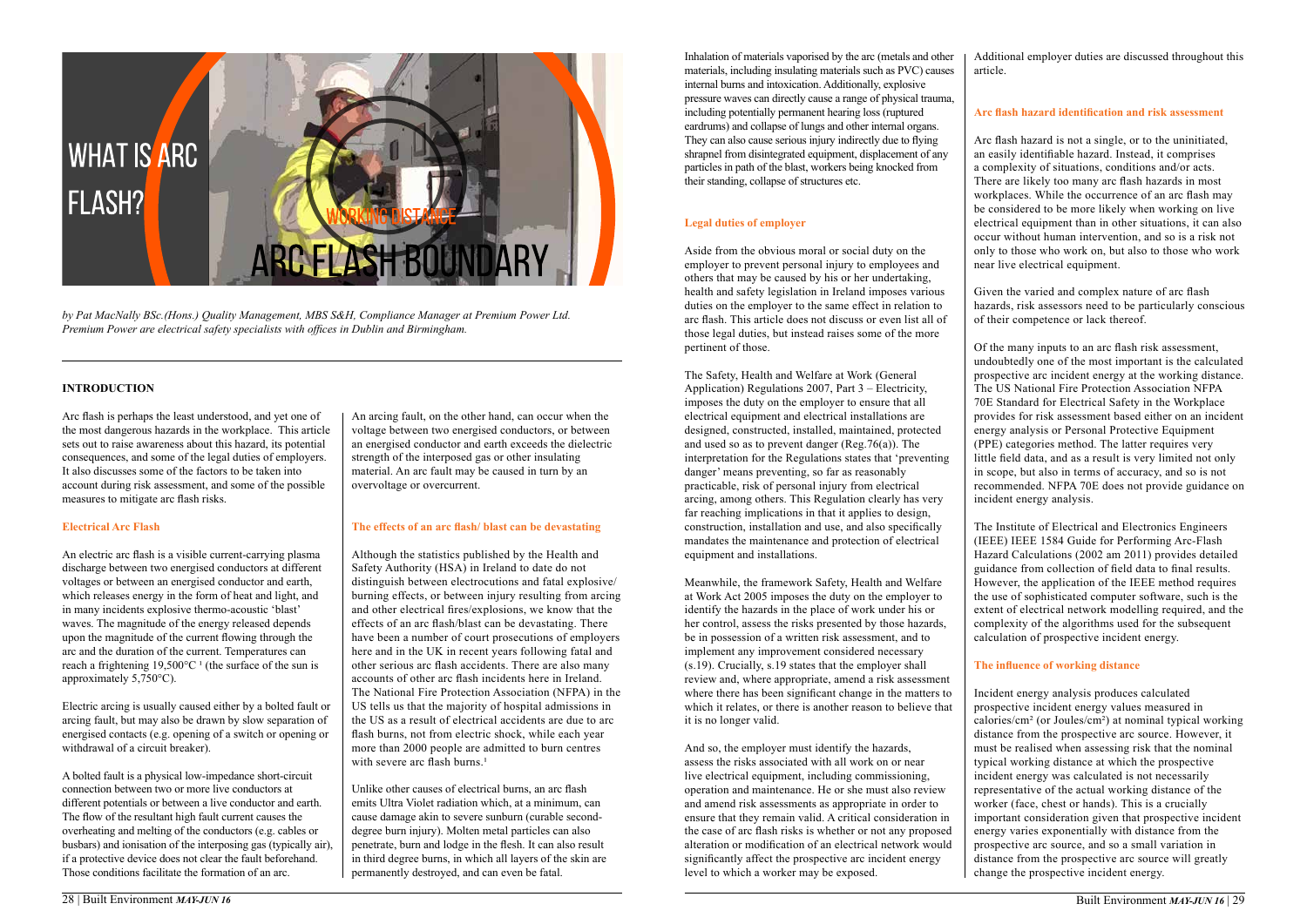#### **Introduction**

Arc flash is perhaps the least understood, and yet one of the most dangerous hazards in the workplace. This article sets out to raise awareness about this hazard, its potential consequences, and some of the legal duties of employers. It also discusses some of the factors to be taken into account during risk assessment, and some of the possible measures to mitigate arc flash risks.

#### **Electrical Arc Flash**

An electric arc flash is a visible current-carrying plasma discharge between two energised conductors at different voltages or between an energised conductor and earth, which releases energy in the form of heat and light, and in many incidents explosive thermo-acoustic 'blast' waves. The magnitude of the energy released depends upon the magnitude of the current flowing through the arc and the duration of the current. Temperatures can reach a frightening  $19,500^{\circ}$ C<sup>1</sup> (the surface of the sun is approximately 5,750°C).

Although the statistics published by the Health and Safety Authority (HSA) in Ireland to date do not distinguish between electrocutions and fatal explosive/ burning effects, or between injury resulting from arcing and other electrical fires/explosions, we know that the effects of an arc flash/blast can be devastating. There have been a number of court prosecutions of employers here and in the UK in recent years following fatal and other serious arc flash accidents. There are also many accounts of other arc flash incidents here in Ireland. The National Fire Protection Association (NFPA) in the US tells us that the majority of hospital admissions in the US as a result of electrical accidents are due to arc flash burns, not from electric shock, while each year more than 2000 people are admitted to burn centres with severe arc flash burns.<sup>1</sup>

Electric arcing is usually caused either by a bolted fault or arcing fault, but may also be drawn by slow separation of energised contacts (e.g. opening of a switch or opening or withdrawal of a circuit breaker).

A bolted fault is a physical low-impedance short-circuit connection between two or more live conductors at different potentials or between a live conductor and earth. The flow of the resultant high fault current causes the overheating and melting of the conductors (e.g. cables or busbars) and ionisation of the interposing gas (typically air), if a protective device does not clear the fault beforehand. Those conditions facilitate the formation of an arc.

An arcing fault, on the other hand, can occur when the voltage between two energised conductors, or between an energised conductor and earth exceeds the dielectric strength of the interposed gas or other insulating material. An arc fault may be caused in turn by an overvoltage or overcurrent.

#### **The effects of an arc flash/ blast can be devastating**

Unlike other causes of electrical burns, an arc flash emits Ultra Violet radiation which, at a minimum, can cause damage akin to severe sunburn (curable seconddegree burn injury). Molten metal particles can also penetrate, burn and lodge in the flesh. It can also result in third degree burns, in which all layers of the skin are permanently destroyed, and can even be fatal.

Inhalation of materials vaporised by the arc (metals and other materials, including insulating materials such as PVC) causes internal burns and intoxication. Additionally, explosive pressure waves can directly cause a range of physical trauma, including potentially permanent hearing loss (ruptured eardrums) and collapse of lungs and other internal organs. They can also cause serious injury indirectly due to flying shrapnel from disintegrated equipment, displacement of any particles in path of the blast, workers being knocked from their standing, collapse of structures etc.

### **Legal duties of employer**

Aside from the obvious moral or social duty on the employer to prevent personal injury to employees and others that may be caused by his or her undertaking, health and safety legislation in Ireland imposes various duties on the employer to the same effect in relation to arc flash. This article does not discuss or even list all of those legal duties, but instead raises some of the more pertinent of those.

The Safety, Health and Welfare at Work (General Application) Regulations 2007, Part 3 – Electricity, imposes the duty on the employer to ensure that all electrical equipment and electrical installations are designed, constructed, installed, maintained, protected and used so as to prevent danger  $(Reg.76(a))$ . The interpretation for the Regulations states that 'preventing danger' means preventing, so far as reasonably practicable, risk of personal injury from electrical arcing, among others. This Regulation clearly has very far reaching implications in that it applies to design, construction, installation and use, and also specifically mandates the maintenance and protection of electrical equipment and installations.

Meanwhile, the framework Safety, Health and Welfare at Work Act 2005 imposes the duty on the employer to identify the hazards in the place of work under his or her control, assess the risks presented by those hazards, be in possession of a written risk assessment, and to implement any improvement considered necessary (s.19). Crucially, s.19 states that the employer shall review and, where appropriate, amend a risk assessment where there has been significant change in the matters to which it relates, or there is another reason to believe that it is no longer valid.

And so, the employer must identify the hazards, assess the risks associated with all work on or near live electrical equipment, including commissioning, operation and maintenance. He or she must also review and amend risk assessments as appropriate in order to ensure that they remain valid. A critical consideration in the case of arc flash risks is whether or not any proposed alteration or modification of an electrical network would significantly affect the prospective arc incident energy level to which a worker may be exposed.

Additional employer duties are discussed throughout this article.

#### **Arc flash hazard identification and risk assessment**

Arc flash hazard is not a single, or to the uninitiated, an easily identifiable hazard. Instead, it comprises a complexity of situations, conditions and/or acts. There are likely too many arc flash hazards in most workplaces. While the occurrence of an arc flash may be considered to be more likely when working on live electrical equipment than in other situations, it can also occur without human intervention, and so is a risk not only to those who work on, but also to those who work near live electrical equipment.

Given the varied and complex nature of arc flash hazards, risk assessors need to be particularly conscious of their competence or lack thereof.

Of the many inputs to an arc flash risk assessment, undoubtedly one of the most important is the calculated prospective arc incident energy at the working distance. The US National Fire Protection Association NFPA 70E Standard for Electrical Safety in the Workplace provides for risk assessment based either on an incident energy analysis or Personal Protective Equipment (PPE) categories method. The latter requires very little field data, and as a result is very limited not only in scope, but also in terms of accuracy, and so is not recommended. NFPA 70E does not provide guidance on incident energy analysis.

The Institute of Electrical and Electronics Engineers (IEEE) IEEE 1584 Guide for Performing Arc-Flash Hazard Calculations (2002 am 2011) provides detailed guidance from collection of field data to final results. However, the application of the IEEE method requires the use of sophisticated computer software, such is the extent of electrical network modelling required, and the complexity of the algorithms used for the subsequent calculation of prospective incident energy.

## **The influence of working distance**

Incident energy analysis produces calculated prospective incident energy values measured in calories/cm² (or Joules/cm²) at nominal typical working distance from the prospective arc source. However, it must be realised when assessing risk that the nominal typical working distance at which the prospective incident energy was calculated is not necessarily representative of the actual working distance of the worker (face, chest or hands). This is a crucially important consideration given that prospective incident energy varies exponentially with distance from the prospective arc source, and so a small variation in distance from the prospective arc source will greatly change the prospective incident energy.



*by Pat MacNally BSc.(Hons.) Quality Management, MBS S&H, Compliance Manager at Premium Power Ltd. Premium Power are electrical safety specialists with offices in Dublin and Birmingham.*